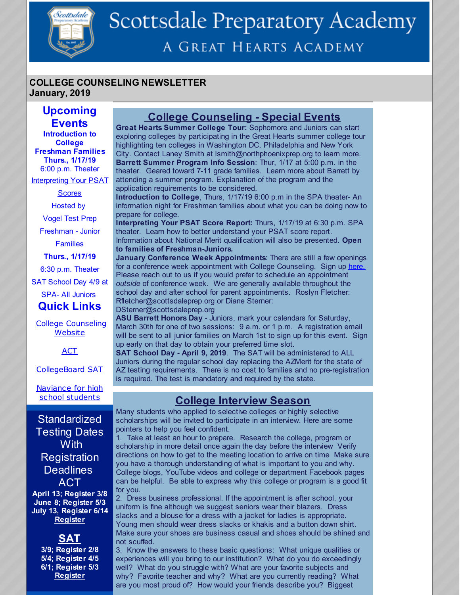

# Scottsdale Preparatory Academy A GREAT HEARTS ACADEMY

#### **COLLEGE COUNSELING NEWSLETTER January, 2019**

## **Upcoming Events**

**Introduction to College Freshman Families Thurs., 1/17/19** 6:00 p.m. Theater

**Interpreting Your PSAT** 

**Scores** 

Hosted by

Vogel Test Prep

Freshman - Junior Families

**Thurs., 1/17/19**

6:30 p.m. Theater

SAT School Day 4/9 at

SPA- All Juniors

**Quick Links**

College [Counseling](http://scottsdaleprep.greatheartsacademies.org/academics/college-counseling/) **Website** 

**[ACT](http://www.act.org/)** 

[CollegeBoard](https://collegereadiness.collegeboard.org/sat) SAT

[Naviance](https://www.naviance.com/) for high school students

## **Standardized** Testing Dates **With Registration Deadlines** ACT

**April 13; Register 3/8 June 8; Register 5/3 July 13, Register 6/14 [Register](http://www.act.org/)**

**SAT**

**3/9; Register 2/8 5/4; Register 4/5 6/1; Register 5/3 [Register](https://collegereadiness.collegeboard.org/sat/register)**

# **College Counseling - Special Events**

**Great Hearts Summer College Tour:** Sophomore and Juniors can start exploring colleges by participating in the Great Hearts summer college tour highlighting ten colleges in Washington DC, Philadelphia and New York City. Contact Laney Smith at lsmith@northphoenixprep.org to learn more. **Barrett Summer Program Info Session**: Thur, 1/17 at 5:00 p.m. in the theater. Geared toward 7-11 grade families. Learn more about Barrett by attending a summer program. Explanation of the program and the application requirements to be considered.

**Introduction to College**, Thurs, 1/17/19 6:00 p.m in the SPA theater- An information night for Freshman families about what you can be doing now to prepare for college.

**Interpreting Your PSAT Score Report:** Thurs, 1/17/19 at 6:30 p.m. SPA theater. Learn how to better understand your PSAT score report. Information about National Merit qualification will also be presented. **Open to families of Freshman-Juniors.**

**January Conference Week Appointments**: There are still a few openings for a conference week appointment with College Counseling. Sign up [here.](https://www.signupgenius.com/go/30e094ba4ab2ca2ff2-january1) Please reach out to us if you would prefer to schedule an appointment *outside* of conference week. We are generally available throughout the school day and after school for parent appointments. Roslyn Fletcher: Rfletcher@scottsdaleprep.org or Diane Sterner:

DSterner@scottsdaleprep.org

**ASU Barrett Honors Day** - Juniors, mark your calendars for Saturday, March 30th for one of two sessions: 9 a.m. or 1 p.m. A registration email will be sent to all junior families on March 1st to sign up for this event. Sign up early on that day to obtain your preferred time slot.

**SAT School Day - April 9, 2019**. The SAT will be administered to ALL Juniors during the regular school day replacing the AZMerit for the state of AZ testing requirements. There is no cost to families and no pre-registration is required. The test is mandatory and required by the state.

## **College Interview Season**

Many students who applied to selective colleges or highly selective scholarships will be invited to participate in an interview. Here are some pointers to help you feel confident.

1. Take at least an hour to prepare. Research the college, program or scholarship in more detail once again the day before the interview Verify directions on how to get to the meeting location to arrive on time Make sure you have a thorough understanding of what is important to you and why. College blogs, YouTube videos and college or department Facebook pages can be helpful. Be able to express why this college or program is a good fit for you.

2. Dress business professional. If the appointment is after school, your uniform is fine although we suggest seniors wear their blazers. Dress slacks and a blouse for a dress with a jacket for ladies is appropriate. Young men should wear dress slacks or khakis and a button down shirt. Make sure your shoes are business casual and shoes should be shined and not scuffed.

3. Know the answers to these basic questions: What unique qualities or experiences will you bring to our institution? What do you do exceedingly well? What do you struggle with? What are your favorite subjects and why? Favorite teacher and why? What are you currently reading? What are you most proud of? How would your friends describe you? Biggest